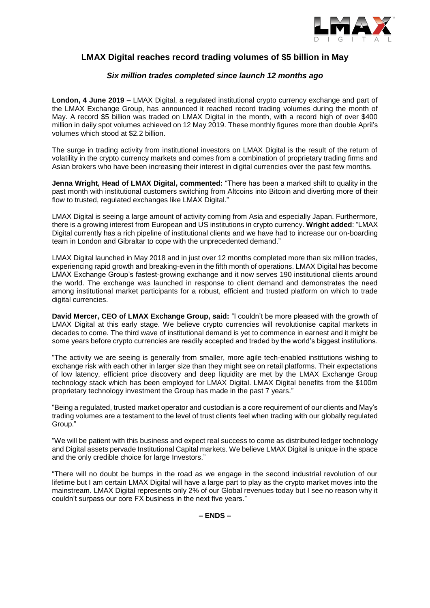

# **LMAX Digital reaches record trading volumes of \$5 billion in May**

# *Six million trades completed since launch 12 months ago*

**London, 4 June 2019 –** LMAX Digital, a regulated institutional crypto currency exchange and part of the LMAX Exchange Group, has announced it reached record trading volumes during the month of May. A record \$5 billion was traded on LMAX Digital in the month, with a record high of over \$400 million in daily spot volumes achieved on 12 May 2019. These monthly figures more than double April's volumes which stood at \$2.2 billion.

The surge in trading activity from institutional investors on LMAX Digital is the result of the return of volatility in the crypto currency markets and comes from a combination of proprietary trading firms and Asian brokers who have been increasing their interest in digital currencies over the past few months.

**Jenna Wright, Head of LMAX Digital, commented:** "There has been a marked shift to quality in the past month with institutional customers switching from Altcoins into Bitcoin and diverting more of their flow to trusted, regulated exchanges like LMAX Digital."

LMAX Digital is seeing a large amount of activity coming from Asia and especially Japan. Furthermore, there is a growing interest from European and US institutions in crypto currency. **Wright added**: "LMAX Digital currently has a rich pipeline of institutional clients and we have had to increase our on-boarding team in London and Gibraltar to cope with the unprecedented demand."

LMAX Digital launched in May 2018 and in just over 12 months completed more than six million trades, experiencing rapid growth and breaking-even in the fifth month of operations. LMAX Digital has become LMAX Exchange Group's fastest-growing exchange and it now serves 190 institutional clients around the world. The exchange was launched in response to client demand and demonstrates the need among institutional market participants for a robust, efficient and trusted platform on which to trade digital currencies.

**David Mercer, CEO of LMAX Exchange Group, said:** "I couldn't be more pleased with the growth of LMAX Digital at this early stage. We believe crypto currencies will revolutionise capital markets in decades to come. The third wave of institutional demand is yet to commence in earnest and it might be some years before crypto currencies are readily accepted and traded by the world's biggest institutions.

"The activity we are seeing is generally from smaller, more agile tech-enabled institutions wishing to exchange risk with each other in larger size than they might see on retail platforms. Their expectations of low latency, efficient price discovery and deep liquidity are met by the LMAX Exchange Group technology stack which has been employed for LMAX Digital. LMAX Digital benefits from the \$100m proprietary technology investment the Group has made in the past 7 years."

"Being a regulated, trusted market operator and custodian is a core requirement of our clients and May's trading volumes are a testament to the level of trust clients feel when trading with our globally regulated Group."

"We will be patient with this business and expect real success to come as distributed ledger technology and Digital assets pervade Institutional Capital markets. We believe LMAX Digital is unique in the space and the only credible choice for large Investors."

"There will no doubt be bumps in the road as we engage in the second industrial revolution of our lifetime but I am certain LMAX Digital will have a large part to play as the crypto market moves into the mainstream. LMAX Digital represents only 2% of our Global revenues today but I see no reason why it couldn't surpass our core FX business in the next five years."

**– ENDS –**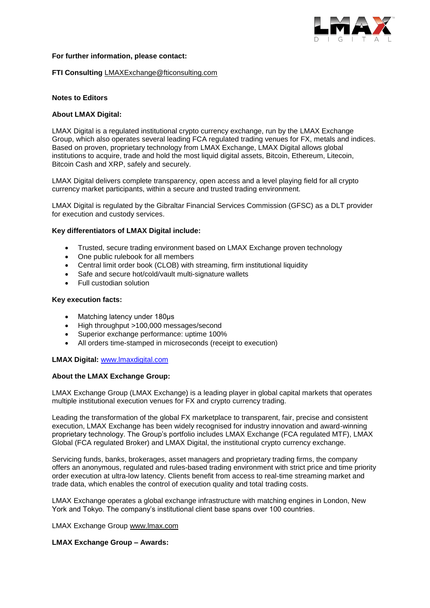

#### **For further information, please contact:**

#### **FTI Consulting** [LMAXExchange@fticonsulting.com](mailto:LMAXExchange@fticonsulting.com)

#### **Notes to Editors**

# **About LMAX Digital:**

[LMAX Digital](http://www.lmaxdigital.com/) is a regulated institutional crypto currency exchange, run by the [LMAX Exchange](http://www.lmax.com/)  [Group,](http://www.lmax.com/) which also operates several leading FCA regulated trading venues for FX, metals and indices. Based on proven, proprietary technology from LMAX Exchange, LMAX Digital allows global institutions to acquire, trade and hold the most liquid digital assets, Bitcoin, Ethereum, Litecoin, Bitcoin Cash and XRP, safely and securely.

LMAX Digital delivers complete transparency, open access and a level playing field for all crypto currency market participants, within a secure and trusted trading environment.

LMAX Digital is regulated by the Gibraltar Financial Services Commission (GFSC) as a DLT provider for execution and custody services.

#### **Key differentiators of LMAX Digital include:**

- Trusted, secure trading environment based on LMAX Exchange proven technology
- One public rulebook for all members
- Central limit order book (CLOB) with streaming, firm institutional liquidity
- Safe and secure hot/cold/vault multi-signature wallets
- Full custodian solution

#### **Key execution facts:**

- Matching latency under 180μs
- High throughput >100,000 messages/second
- Superior exchange performance: uptime 100%
- All orders time-stamped in microseconds (receipt to execution)

# **LMAX Digital:** [www.lmaxdigital.com](http://www.lmaxdigital.com/)

### **About the LMAX Exchange Group:**

LMAX Exchange Group (LMAX Exchange) is a leading player in global capital markets that operates multiple institutional execution venues for FX and crypto currency trading.

Leading the transformation of the global FX marketplace to transparent, fair, precise and consistent execution, LMAX Exchange has been widely recognised for industry innovation and award-winning proprietary technology. The Group's portfolio includes LMAX Exchange (FCA regulated MTF), LMAX Global (FCA regulated Broker) and LMAX Digital, the institutional crypto currency exchange.

Servicing funds, banks, brokerages, asset managers and proprietary trading firms, the company offers an anonymous, regulated and rules-based trading environment with strict price and time priority order execution at ultra-low latency. Clients benefit from access to real-time streaming market and trade data, which enables the control of execution quality and total trading costs.

LMAX Exchange operates a global exchange infrastructure with matching engines in London, New York and Tokyo. The company's institutional client base spans over 100 countries.

LMAX Exchange Group [www.lmax.com](http://www.lmax.com/)

#### **LMAX Exchange Group – Awards:**